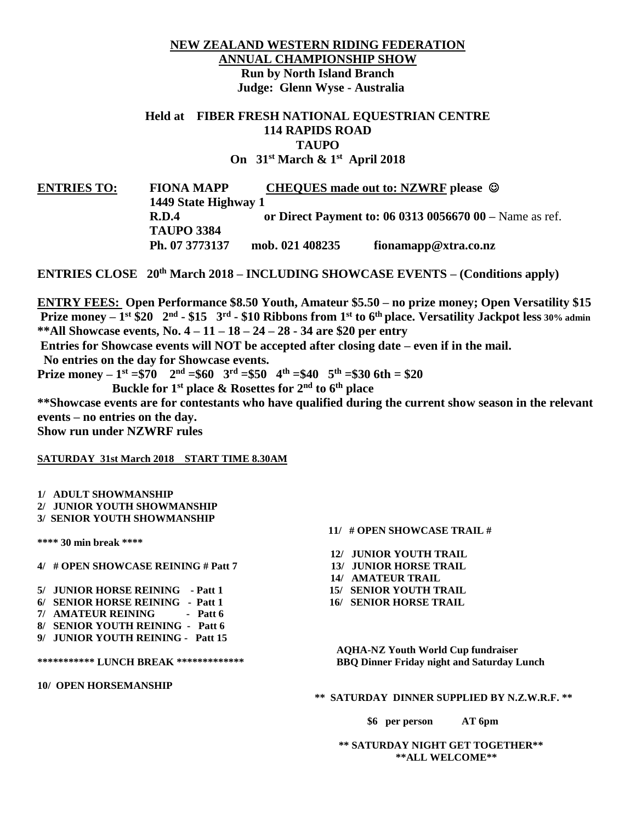# **NEW ZEALAND WESTERN RIDING FEDERATION ANNUAL CHAMPIONSHIP SHOW Run by North Island Branch Judge: Glenn Wyse - Australia**

# **Held at FIBER FRESH NATIONAL EQUESTRIAN CENTRE 114 RAPIDS ROAD TAUPO On 31 st March & 1st April 2018**

**ENTRIES TO: FIONA MAPP CHEQUES made out to: NZWRF please 1449 State Highway 1 R.D.4 or Direct Payment to: 06 0313 0056670 00 –** Name as ref. **TAUPO 3384 Ph. 07 3773137 mob. 021 408235 fionamapp@xtra.co.nz**

**ENTRIES CLOSE 20th March 2018 – INCLUDING SHOWCASE EVENTS – (Conditions apply)**

**ENTRY FEES: Open Performance \$8.50 Youth, Amateur \$5.50 – no prize money; Open Versatility \$15 Prize money – 1 st \$20 2 nd - \$15 3rd - \$10 Ribbons from 1 st to 6 th place. Versatility Jackpot less 30% admin \*\*All Showcase events, No. 4 – 11 – 18 – 24 – 28 - 34 are \$20 per entry** 

**Entries for Showcase events will NOT be accepted after closing date – even if in the mail.** 

**No entries on the day for Showcase events.**

**Prize money** –  $1$ <sup>st</sup> =\$70  $2^{nd}$  =\$60  $3^{rd}$  =\$50  $4^{th}$  =\$40  $5^{th}$  =\$30 6th = \$20

 **Buckle for 1st place & Rosettes for 2nd to 6th place**

**\*\*Showcase events are for contestants who have qualified during the current show season in the relevant events – no entries on the day.**

**Show run under NZWRF rules**

### **SATURDAY 31st March 2018 START TIME 8.30AM**

**1/ ADULT SHOWMANSHIP 2/ JUNIOR YOUTH SHOWMANSHIP 3/ SENIOR YOUTH SHOWMANSHIP**

**\*\*\*\* 30 min break \*\*\*\*** 

**4/ # OPEN SHOWCASE REINING # Patt 7 13/ JUNIOR HORSE TRAIL**

- **5/ JUNIOR HORSE REINING - Patt 1 15/ SENIOR YOUTH TRAIL**
- **6/ SENIOR HORSE REINING - Patt 1 16/ SENIOR HORSE TRAIL**
- **7/ AMATEUR REINING - Patt 6**
- **8/ SENIOR YOUTH REINING Patt 6**
- **9/ JUNIOR YOUTH REINING - Patt 15**

**10/ OPEN HORSEMANSHIP**

## **11/ # OPEN SHOWCASE TRAIL #**

- **12/ JUNIOR YOUTH TRAIL**
- 
- **14/ AMATEUR TRAIL**
- 
- 

 **AQHA-NZ Youth World Cup fundraiser \*\*\*\*\*\*\*\*\*\*\* LUNCH BREAK \*\*\*\*\*\*\*\*\*\*\*\*\* BBQ Dinner Friday night and Saturday Lunch**

 **\*\* SATURDAY DINNER SUPPLIED BY N.Z.W.R.F. \*\***

 **\$6 per person AT 6pm**

 **\*\* SATURDAY NIGHT GET TOGETHER\*\* \*\*ALL WELCOME\*\***